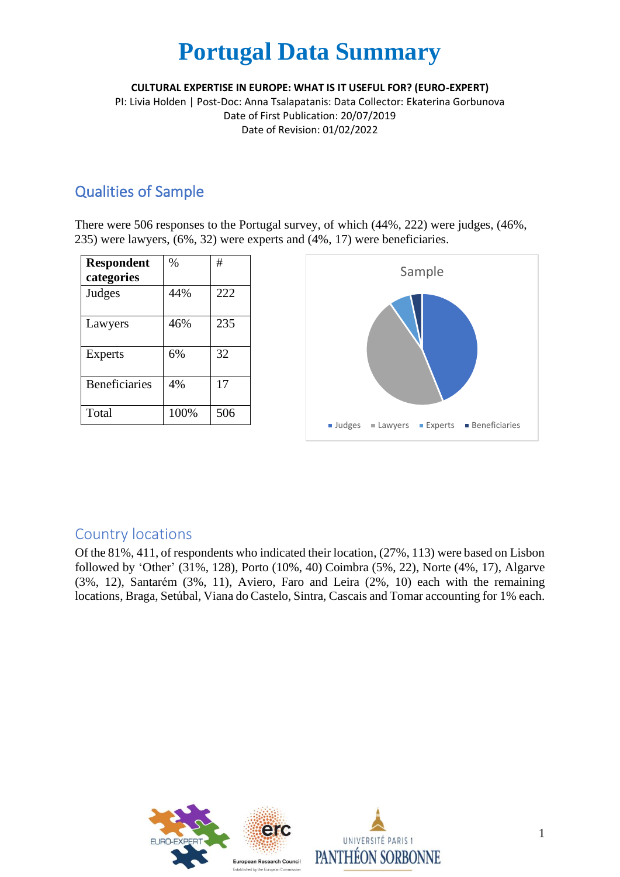**CULTURAL EXPERTISE IN EUROPE: WHAT IS IT USEFUL FOR? (EURO-EXPERT)**

PI: Livia Holden | Post-Doc: Anna Tsalapatanis: Data Collector: Ekaterina Gorbunova Date of First Publication: 20/07/2019 Date of Revision: 01/02/2022

## Qualities of Sample

There were 506 responses to the Portugal survey, of which (44%, 222) were judges, (46%, 235) were lawyers, (6%, 32) were experts and (4%, 17) were beneficiaries.

| <b>Respondent</b><br>categories | $\%$ | #   |
|---------------------------------|------|-----|
| Judges                          | 44%  | 222 |
| Lawyers                         | 46%  | 235 |
| Experts                         | 6%   | 32  |
| <b>Beneficiaries</b>            | 4%   | 17  |
| Total                           | 100% | 506 |



### Country locations

Of the 81%, 411, of respondents who indicated their location, (27%, 113) were based on Lisbon followed by 'Other' (31%, 128), Porto (10%, 40) Coimbra (5%, 22), Norte (4%, 17), Algarve (3%, 12), Santarém (3%, 11), Aviero, Faro and Leira (2%, 10) each with the remaining locations, Braga, Setúbal, Viana do Castelo, Sintra, Cascais and Tomar accounting for 1% each.

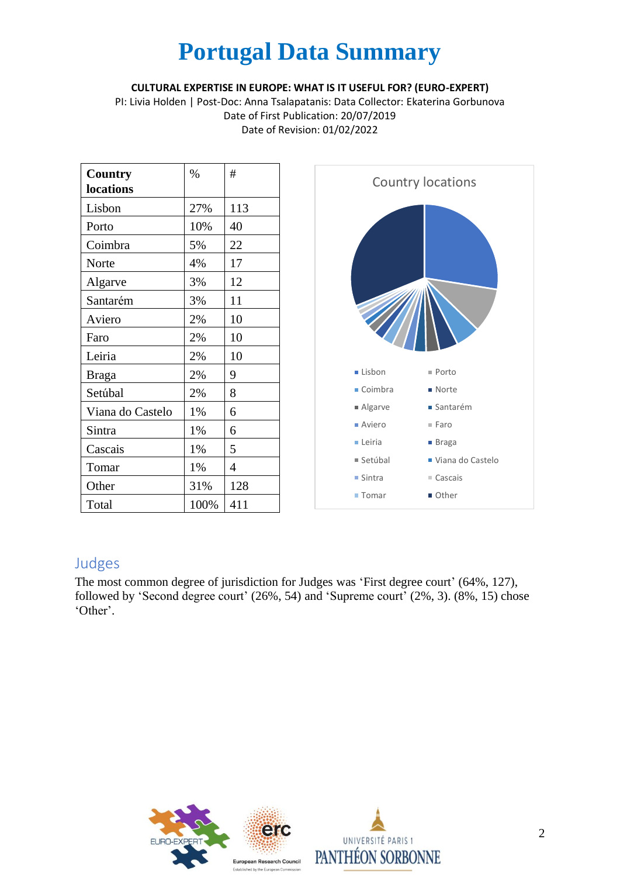#### **CULTURAL EXPERTISE IN EUROPE: WHAT IS IT USEFUL FOR? (EURO-EXPERT)**

PI: Livia Holden | Post-Doc: Anna Tsalapatanis: Data Collector: Ekaterina Gorbunova Date of First Publication: 20/07/2019 Date of Revision: 01/02/2022

| <b>Country</b>   | $\frac{0}{0}$ | #              |
|------------------|---------------|----------------|
| locations        |               |                |
| Lisbon           | 27%           | 113            |
| Porto            | 10%           | 40             |
| Coimbra          | 5%            | 22             |
| Norte            | 4%            | 17             |
| Algarve          | 3%            | 12             |
| Santarém         | 3%            | 11             |
| Aviero           | 2%            | 10             |
| Faro             | 2%            | 10             |
| Leiria           | 2%            | 10             |
| <b>Braga</b>     | 2%            | 9              |
| Setúbal          | 2%            | 8              |
| Viana do Castelo | 1%            | 6              |
| Sintra           | 1%            | 6              |
| Cascais          | 1%            | 5              |
| Tomar            | 1%            | $\overline{4}$ |
| Other            | 31%           | 128            |
| Total            | 100%          | 411            |



### Judges

The most common degree of jurisdiction for Judges was 'First degree court' (64%, 127), followed by 'Second degree court' (26%, 54) and 'Supreme court' (2%, 3). (8%, 15) chose 'Other'.

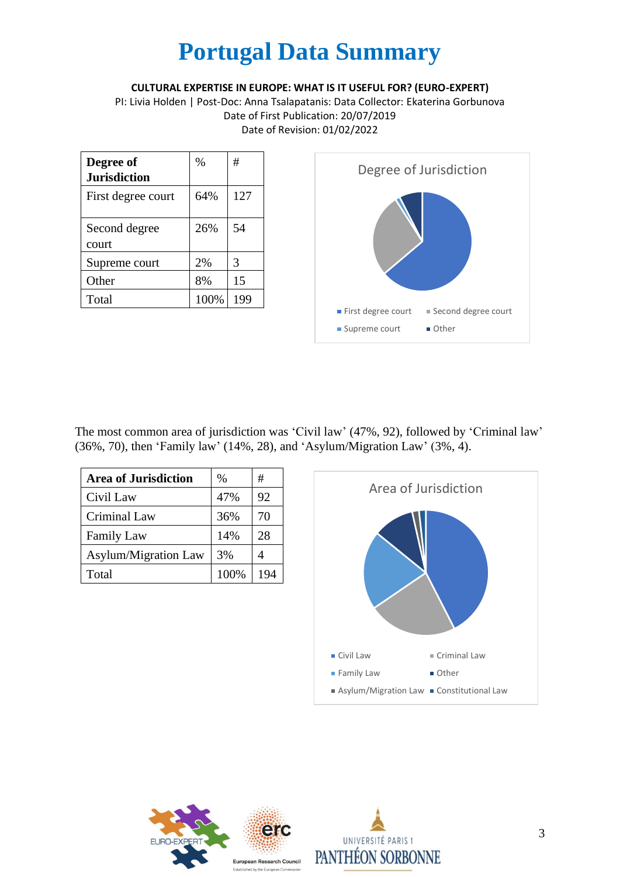**CULTURAL EXPERTISE IN EUROPE: WHAT IS IT USEFUL FOR? (EURO-EXPERT)**

PI: Livia Holden | Post-Doc: Anna Tsalapatanis: Data Collector: Ekaterina Gorbunova Date of First Publication: 20/07/2019 Date of Revision: 01/02/2022

| Degree of<br><b>Jurisdiction</b> | $\frac{0}{0}$ | #   |
|----------------------------------|---------------|-----|
| First degree court               | 64%           | 127 |
| Second degree<br>court           | 26%           | 54  |
| Supreme court                    | 2%            | 3   |
| Other                            | 8%            | 15  |
| Total                            | 100%          | 199 |



The most common area of jurisdiction was 'Civil law' (47%, 92), followed by 'Criminal law' (36%, 70), then 'Family law' (14%, 28), and 'Asylum/Migration Law' (3%, 4).

| <b>Area of Jurisdiction</b> | %    | #   |
|-----------------------------|------|-----|
| Civil Law                   | 47%  | 92  |
| Criminal Law                | 36%  | 70  |
| <b>Family Law</b>           | 14%  | 28  |
| <b>Asylum/Migration Law</b> | 3%   |     |
| Total                       | 100% | 194 |





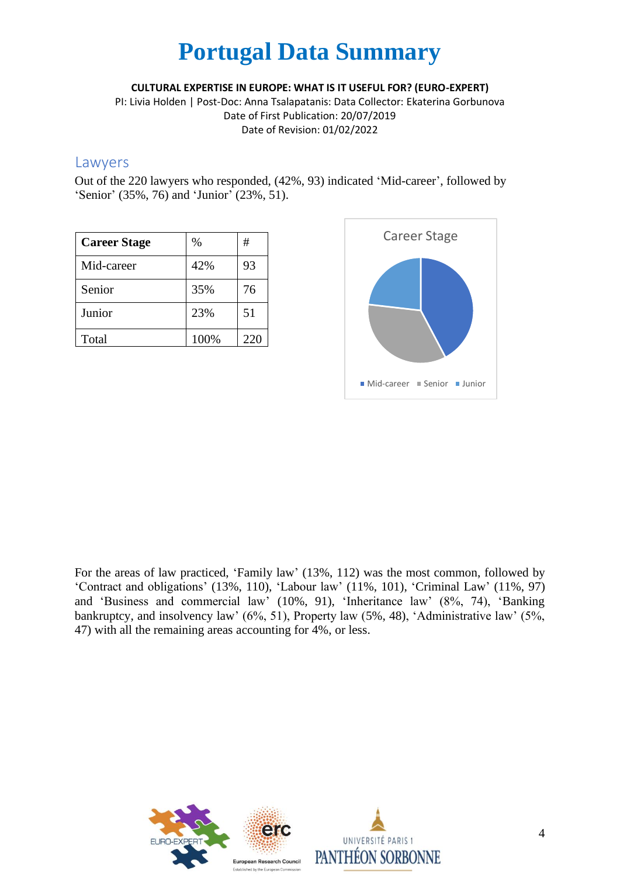**CULTURAL EXPERTISE IN EUROPE: WHAT IS IT USEFUL FOR? (EURO-EXPERT)**

PI: Livia Holden | Post-Doc: Anna Tsalapatanis: Data Collector: Ekaterina Gorbunova Date of First Publication: 20/07/2019 Date of Revision: 01/02/2022

#### Lawyers

Out of the 220 lawyers who responded, (42%, 93) indicated 'Mid-career', followed by 'Senior' (35%, 76) and 'Junior' (23%, 51).

| <b>Career Stage</b> | %    | #   |
|---------------------|------|-----|
| Mid-career          | 42%  | 93  |
| Senior              | 35%  | 76  |
| Junior              | 23%  | 51  |
| Total               | 100% | 220 |



For the areas of law practiced, 'Family law' (13%, 112) was the most common, followed by 'Contract and obligations' (13%, 110), 'Labour law' (11%, 101), 'Criminal Law' (11%, 97) and 'Business and commercial law' (10%, 91), 'Inheritance law' (8%, 74), 'Banking bankruptcy, and insolvency law' (6%, 51), Property law (5%, 48), 'Administrative law' (5%, 47) with all the remaining areas accounting for 4%, or less.

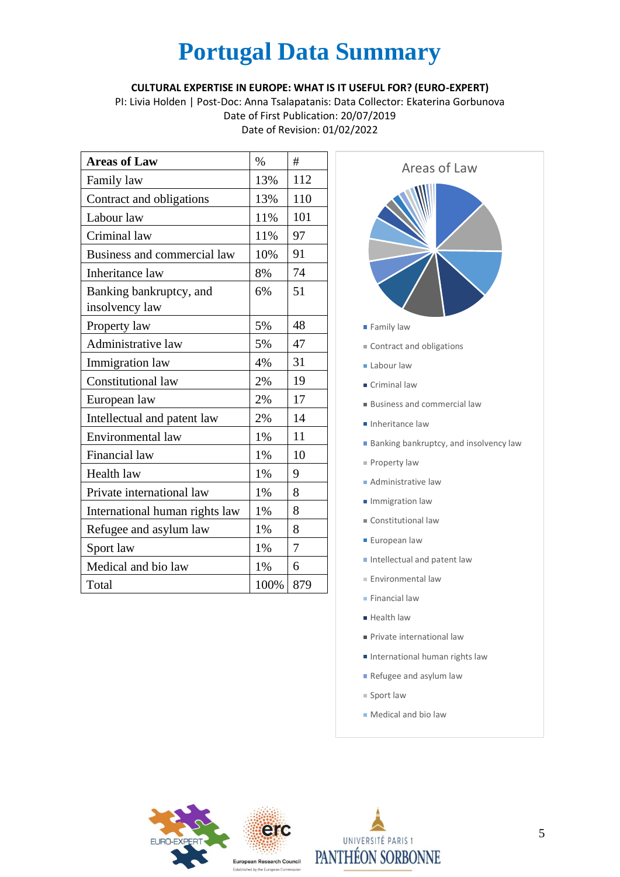#### **CULTURAL EXPERTISE IN EUROPE: WHAT IS IT USEFUL FOR? (EURO-EXPERT)**

PI: Livia Holden | Post-Doc: Anna Tsalapatanis: Data Collector: Ekaterina Gorbunova Date of First Publication: 20/07/2019 Date of Revision: 01/02/2022

| <b>Areas of Law</b>                       | $\%$ | #   |
|-------------------------------------------|------|-----|
| Family law                                | 13%  | 112 |
| Contract and obligations                  | 13%  | 110 |
| Labour law                                | 11%  | 101 |
| Criminal law                              | 11%  | 97  |
| Business and commercial law               | 10%  | 91  |
| Inheritance law                           | 8%   | 74  |
| Banking bankruptcy, and<br>insolvency law | 6%   | 51  |
| Property law                              | 5%   | 48  |
| Administrative law                        | 5%   | 47  |
| Immigration law                           | 4%   | 31  |
| <b>Constitutional law</b>                 | 2%   | 19  |
| European law                              | 2%   | 17  |
| Intellectual and patent law               | 2%   | 14  |
| Environmental law                         | 1%   | 11  |
| Financial law                             | 1%   | 10  |
| Health law                                | 1%   | 9   |
| Private international law                 | 1%   | 8   |
| International human rights law            | 1%   | 8   |
| Refugee and asylum law                    | 1%   | 8   |
| Sport law                                 | 1%   | 7   |
| Medical and bio law                       | 1%   | 6   |
| Total                                     | 100% | 879 |



- Contract and obligations
- **Labour law**
- Criminal law
- Business and commercial law
- **Inheritance law**
- **Banking bankruptcy, and insolvency law**
- $P$ roperty law
- **Administrative law**
- **Immigration law**
- Constitutional law
- **European law**
- Intellectual and patent law
- Environmental law
- **Financial law**
- **Health law**
- Private international law
- International human rights law
- Refugee and asylum law
- $=$  Sport law
- Medical and bio law



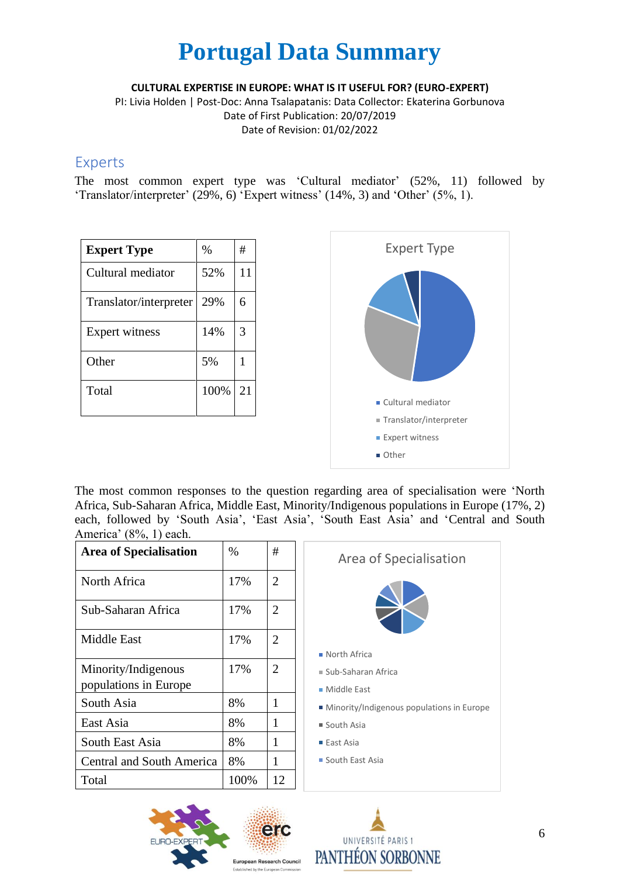**CULTURAL EXPERTISE IN EUROPE: WHAT IS IT USEFUL FOR? (EURO-EXPERT)**

PI: Livia Holden | Post-Doc: Anna Tsalapatanis: Data Collector: Ekaterina Gorbunova Date of First Publication: 20/07/2019 Date of Revision: 01/02/2022

#### Experts

The most common expert type was 'Cultural mediator' (52%, 11) followed by 'Translator/interpreter' (29%, 6) 'Expert witness' (14%, 3) and 'Other' (5%, 1).

| <b>Expert Type</b>     | $\%$ | #  |
|------------------------|------|----|
| Cultural mediator      | 52%  | 11 |
| Translator/interpreter | 29%  | 6  |
| Expert witness         | 14%  | 3  |
| Other                  | 5%   | 1  |
| Total                  | 100% | 21 |



The most common responses to the question regarding area of specialisation were 'North Africa, Sub-Saharan Africa, Middle East, Minority/Indigenous populations in Europe (17%, 2) each, followed by 'South Asia', 'East Asia', 'South East Asia' and 'Central and South America' (8%, 1) each.

| <b>Area of Specialisation</b>                | $\%$ | #              | А                    |
|----------------------------------------------|------|----------------|----------------------|
| North Africa                                 | 17%  | 2              |                      |
| Sub-Saharan Africa                           | 17%  | 2              |                      |
| <b>Middle East</b>                           | 17%  | $\overline{2}$ | $\blacksquare$ North |
| Minority/Indigenous<br>populations in Europe | 17%  | 2              | $Sub-S$<br>■ Midd    |
| South Asia                                   | 8%   | 1              | $\blacksquare$ Mino  |
| East Asia                                    | 8%   | 1              | ■ South              |
| South East Asia                              | 8%   | 1              | $\blacksquare$ East  |
| <b>Central and South America</b>             | 8%   | 1              | ■ South              |
| Total                                        | 100% | 12             |                      |





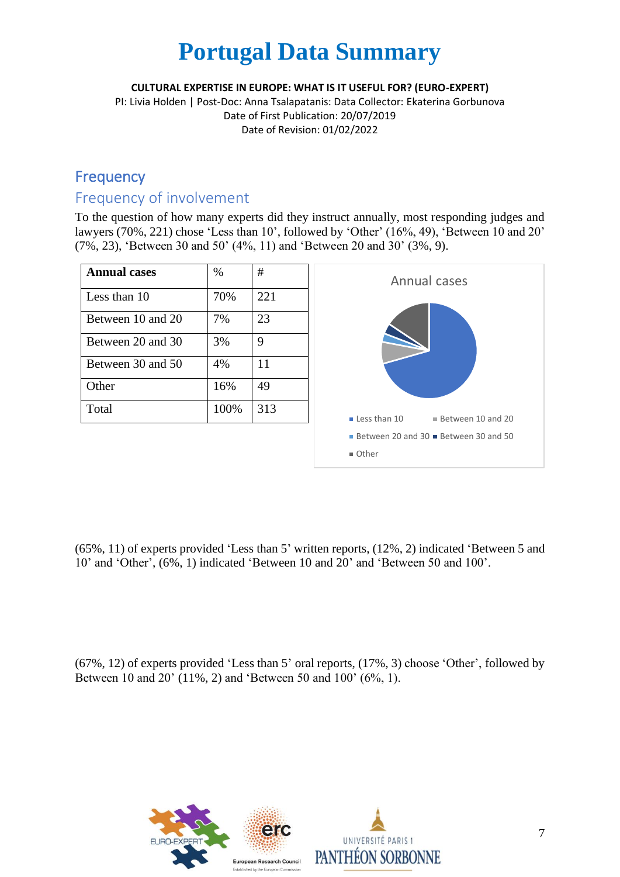**CULTURAL EXPERTISE IN EUROPE: WHAT IS IT USEFUL FOR? (EURO-EXPERT)**

PI: Livia Holden | Post-Doc: Anna Tsalapatanis: Data Collector: Ekaterina Gorbunova Date of First Publication: 20/07/2019 Date of Revision: 01/02/2022

## **Frequency**

## Frequency of involvement

To the question of how many experts did they instruct annually, most responding judges and lawyers (70%, 221) chose 'Less than 10', followed by 'Other' (16%, 49), 'Between 10 and 20' (7%, 23), 'Between 30 and 50' (4%, 11) and 'Between 20 and 30' (3%, 9).

| <b>Annual cases</b> | $\%$ | #   |
|---------------------|------|-----|
| Less than 10        | 70%  | 221 |
| Between 10 and 20   | 7%   | 23  |
| Between 20 and 30   | 3%   | 9   |
| Between 30 and 50   | 4%   | 11  |
| Other               | 16%  | 49  |
| Total               | 100% | 313 |



(65%, 11) of experts provided 'Less than 5' written reports, (12%, 2) indicated 'Between 5 and 10' and 'Other', (6%, 1) indicated 'Between 10 and 20' and 'Between 50 and 100'.

(67%, 12) of experts provided 'Less than 5' oral reports, (17%, 3) choose 'Other', followed by Between 10 and 20' (11%, 2) and 'Between 50 and 100' (6%, 1).

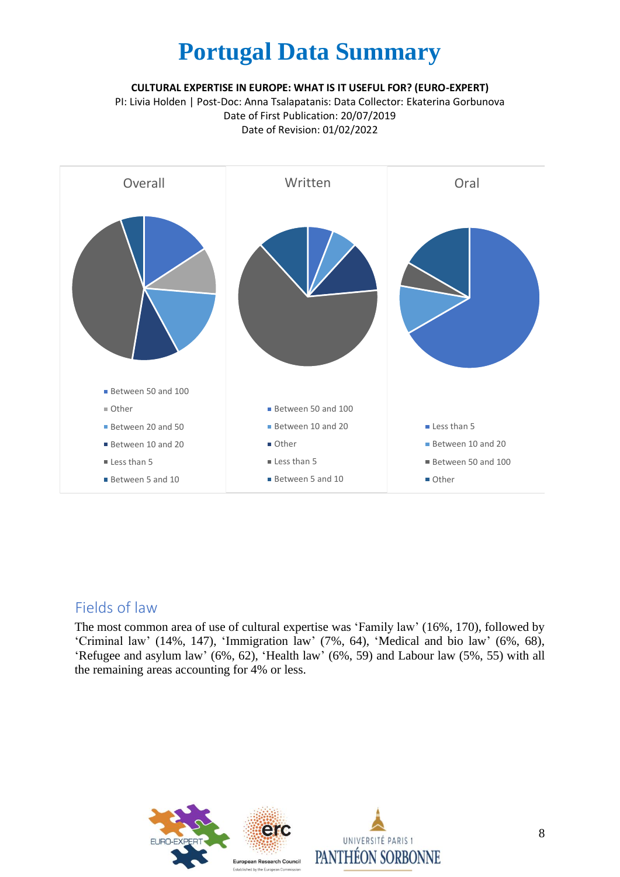**CULTURAL EXPERTISE IN EUROPE: WHAT IS IT USEFUL FOR? (EURO-EXPERT)**

PI: Livia Holden | Post-Doc: Anna Tsalapatanis: Data Collector: Ekaterina Gorbunova Date of First Publication: 20/07/2019 Date of Revision: 01/02/2022



#### Fields of law

The most common area of use of cultural expertise was 'Family law' (16%, 170), followed by 'Criminal law' (14%, 147), 'Immigration law' (7%, 64), 'Medical and bio law' (6%, 68), 'Refugee and asylum law' (6%, 62), 'Health law' (6%, 59) and Labour law (5%, 55) with all the remaining areas accounting for 4% or less.

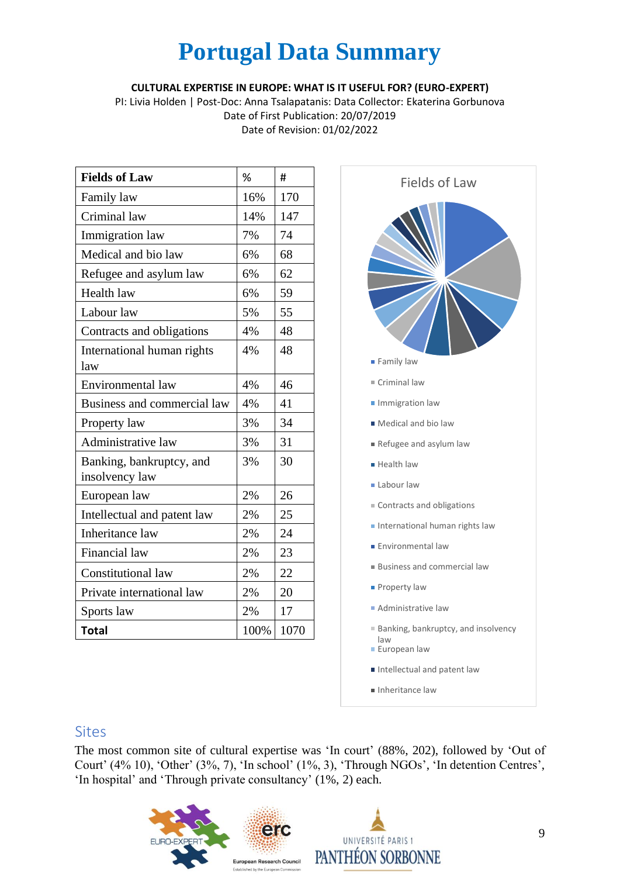#### **CULTURAL EXPERTISE IN EUROPE: WHAT IS IT USEFUL FOR? (EURO-EXPERT)**

PI: Livia Holden | Post-Doc: Anna Tsalapatanis: Data Collector: Ekaterina Gorbunova Date of First Publication: 20/07/2019 Date of Revision: 01/02/2022

| <b>Fields of Law</b>                       | %    | #    |
|--------------------------------------------|------|------|
| Family law                                 | 16%  | 170  |
| Criminal law                               | 14%  | 147  |
| Immigration law                            | 7%   | 74   |
| Medical and bio law                        | 6%   | 68   |
| Refugee and asylum law                     | 6%   | 62   |
| Health law                                 | 6%   | 59   |
| Labour law                                 | 5%   | 55   |
| Contracts and obligations                  | 4%   | 48   |
| International human rights<br>law          | 4%   | 48   |
| Environmental law                          | 4%   | 46   |
| Business and commercial law                | 4%   | 41   |
| Property law                               | 3%   | 34   |
| Administrative law                         | 3%   | 31   |
| Banking, bankruptcy, and<br>insolvency law | 3%   | 30   |
| European law                               | 2%   | 26   |
| Intellectual and patent law                | 2%   | 25   |
| <b>Inheritance law</b>                     | 2%   | 24   |
| Financial law                              | 2%   | 23   |
| <b>Constitutional law</b>                  | 2%   | 22   |
| Private international law                  | 2%   | 20   |
| Sports law                                 | 2%   | 17   |
| <b>Total</b>                               | 100% | 1070 |



#### **Sites**

The most common site of cultural expertise was 'In court' (88%, 202), followed by 'Out of Court' (4% 10), 'Other' (3%, 7), 'In school' (1%, 3), 'Through NGOs', 'In detention Centres', 'In hospital' and 'Through private consultancy' (1%, 2) each.

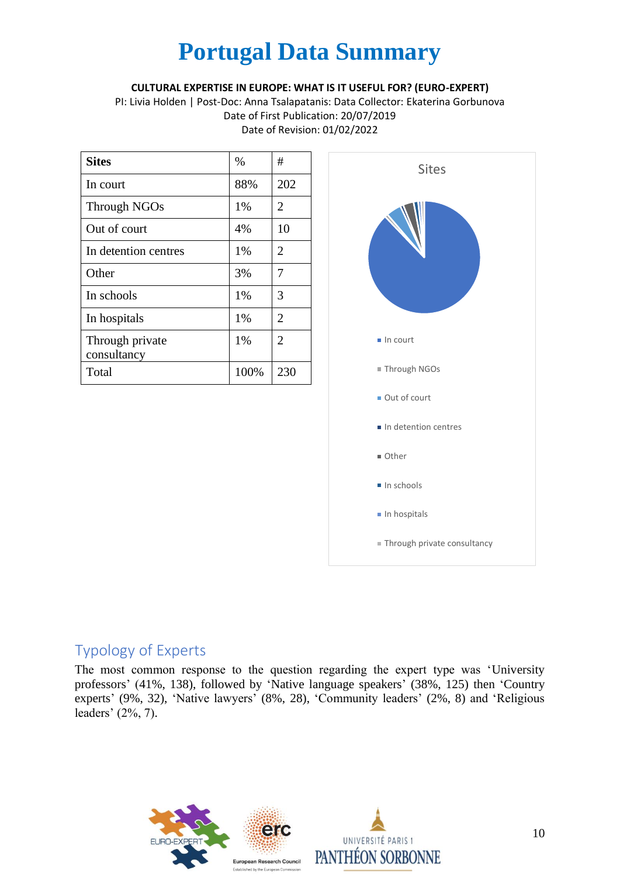#### **CULTURAL EXPERTISE IN EUROPE: WHAT IS IT USEFUL FOR? (EURO-EXPERT)**

PI: Livia Holden | Post-Doc: Anna Tsalapatanis: Data Collector: Ekaterina Gorbunova Date of First Publication: 20/07/2019 Date of Revision: 01/02/2022

| <b>Sites</b>                   | %    | #              |
|--------------------------------|------|----------------|
| In court                       | 88%  | 202            |
| Through NGOs                   | 1%   | 2              |
| Out of court                   | 4%   | 10             |
| In detention centres           | 1%   | 2              |
| Other                          | 3%   | 7              |
| In schools                     | 1%   | 3              |
| In hospitals                   | 1%   | $\overline{2}$ |
| Through private<br>consultancy | 1%   | 2              |
| Total                          | 100% | 230            |



### Typology of Experts

The most common response to the question regarding the expert type was 'University professors' (41%, 138), followed by 'Native language speakers' (38%, 125) then 'Country experts' (9%, 32), 'Native lawyers' (8%, 28), 'Community leaders' (2%, 8) and 'Religious leaders' (2%, 7).

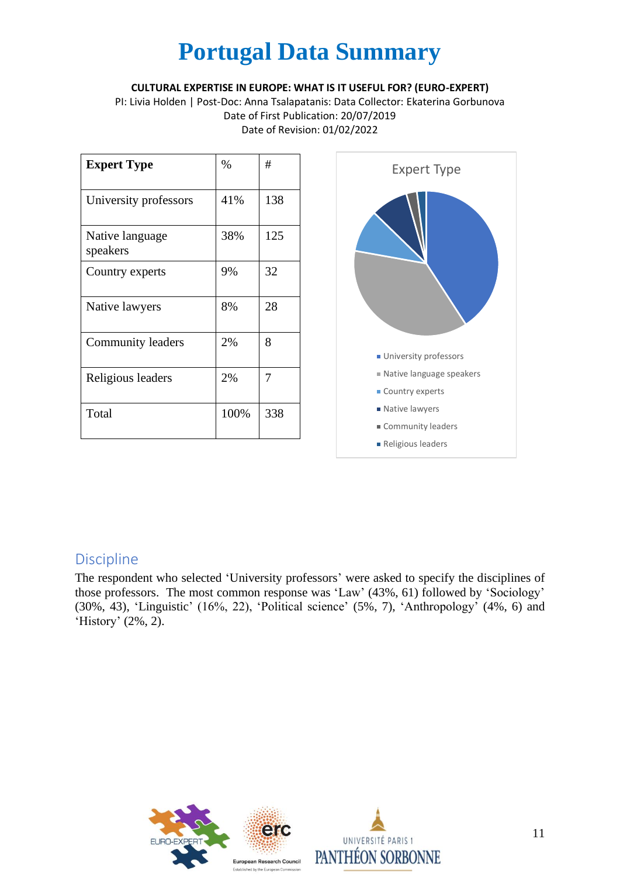#### **CULTURAL EXPERTISE IN EUROPE: WHAT IS IT USEFUL FOR? (EURO-EXPERT)**

PI: Livia Holden | Post-Doc: Anna Tsalapatanis: Data Collector: Ekaterina Gorbunova Date of First Publication: 20/07/2019 Date of Revision: 01/02/2022

| <b>Expert Type</b>          | $\%$ | #   |
|-----------------------------|------|-----|
| University professors       | 41%  | 138 |
| Native language<br>speakers | 38%  | 125 |
| Country experts             | 9%   | 32  |
| Native lawyers              | 8%   | 28  |
| Community leaders           | 2%   | 8   |
| Religious leaders           | 2%   | 7   |
| Total                       | 100% | 338 |



### Discipline

The respondent who selected 'University professors' were asked to specify the disciplines of those professors. The most common response was 'Law' (43%, 61) followed by 'Sociology' (30%, 43), 'Linguistic' (16%, 22), 'Political science' (5%, 7), 'Anthropology' (4%, 6) and 'History' (2%, 2).

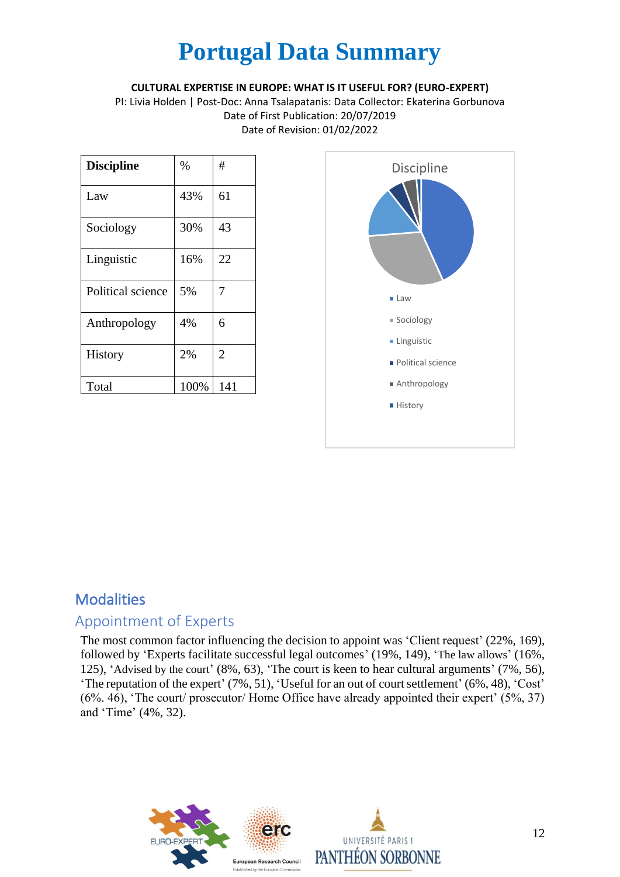#### **CULTURAL EXPERTISE IN EUROPE: WHAT IS IT USEFUL FOR? (EURO-EXPERT)**

PI: Livia Holden | Post-Doc: Anna Tsalapatanis: Data Collector: Ekaterina Gorbunova Date of First Publication: 20/07/2019 Date of Revision: 01/02/2022

| <b>Discipline</b> | $\%$ | #              |
|-------------------|------|----------------|
| Law               | 43%  | 61             |
| Sociology         | 30%  | 43             |
| Linguistic        | 16%  | 22             |
| Political science | 5%   | 7              |
| Anthropology      | 4%   | 6              |
| <b>History</b>    | 2%   | $\overline{2}$ |
| Total             | 100% | 141            |



## **Modalities**

### Appointment of Experts

The most common factor influencing the decision to appoint was 'Client request' (22%, 169), followed by 'Experts facilitate successful legal outcomes' (19%, 149), 'The law allows' (16%, 125), 'Advised by the court' (8%, 63), 'The court is keen to hear cultural arguments' (7%, 56), 'The reputation of the expert' (7%, 51), 'Useful for an out of court settlement' (6%, 48), 'Cost' (6%. 46), 'The court/ prosecutor/ Home Office have already appointed their expert' (5%, 37) and 'Time' (4%, 32).

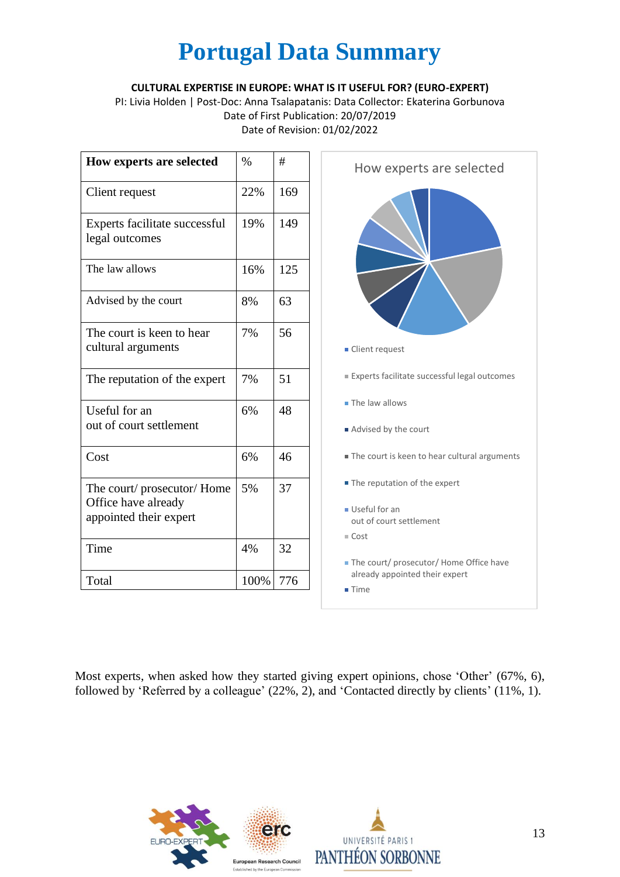#### **CULTURAL EXPERTISE IN EUROPE: WHAT IS IT USEFUL FOR? (EURO-EXPERT)**

PI: Livia Holden | Post-Doc: Anna Tsalapatanis: Data Collector: Ekaterina Gorbunova Date of First Publication: 20/07/2019 Date of Revision: 01/02/2022

| How experts are selected                        | $\%$ | #   |
|-------------------------------------------------|------|-----|
| Client request                                  | 22%  | 169 |
| Experts facilitate successful<br>legal outcomes | 19%  | 149 |
| The law allows                                  | 16%  | 125 |
| Advised by the court                            | 8%   | 63  |
| The court is keen to hear<br>cultural arguments | 7%   | 56  |
| The reputation of the expert                    | 7%   | 51  |
| Useful for an                                   | 6%   | 48  |
| out of court settlement                         |      |     |
| Cost                                            | 6%   | 46  |
| The court/prosecutor/Home                       | 5%   | 37  |
| Office have already<br>appointed their expert   |      |     |
| Time                                            | 4%   | 32  |
|                                                 |      |     |
| Total                                           | 100% | 776 |

Most experts, when asked how they started giving expert opinions, chose 'Other' (67%, 6), followed by 'Referred by a colleague' (22%, 2), and 'Contacted directly by clients' (11%, 1).

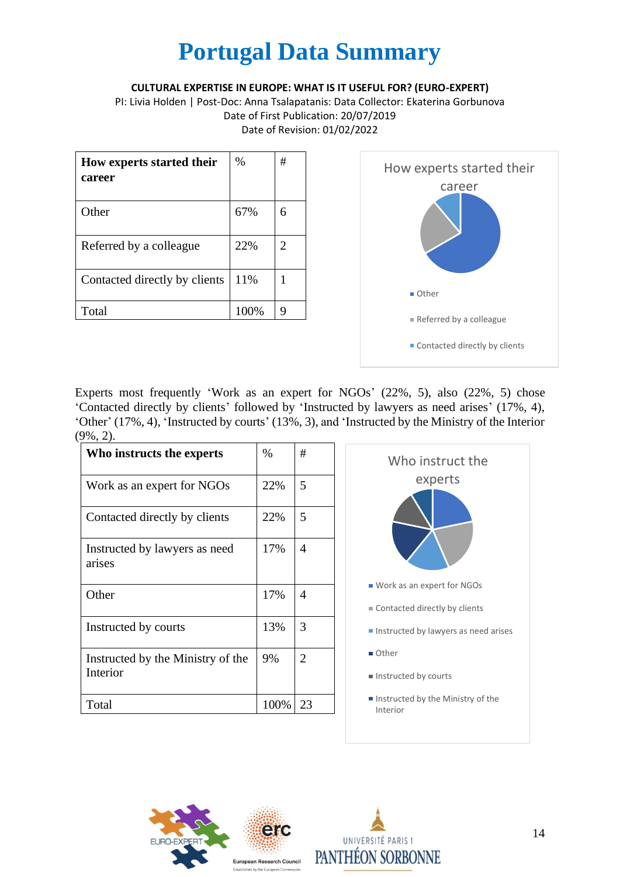#### **CULTURAL EXPERTISE IN EUROPE: WHAT IS IT USEFUL FOR? (EURO-EXPERT)**

PI: Livia Holden | Post-Doc: Anna Tsalapatanis: Data Collector: Ekaterina Gorbunova Date of First Publication: 20/07/2019 Date of Revision: 01/02/2022

| How experts started their<br>career | $\%$ | # |
|-------------------------------------|------|---|
| Other                               | 67%  | 6 |
| Referred by a colleague             | 22%  | 2 |
| Contacted directly by clients       | 11%  |   |
| Total                               | 100% | Q |



Experts most frequently 'Work as an expert for NGOs' (22%, 5), also (22%, 5) chose 'Contacted directly by clients' followed by 'Instructed by lawyers as need arises' (17%, 4), 'Other' (17%, 4), 'Instructed by courts' (13%, 3), and 'Instructed by the Ministry of the Interior (9%, 2).

| Who instructs the experts                     | %    | #              |
|-----------------------------------------------|------|----------------|
| Work as an expert for NGOs                    | 22%  | 5              |
| Contacted directly by clients                 | 22%  | 5              |
| Instructed by lawyers as need<br>arises       | 17%  | 4              |
| Other                                         | 17%  | 4              |
| Instructed by courts                          | 13%  | 3              |
| Instructed by the Ministry of the<br>Interior | 9%   | $\overline{2}$ |
| Total                                         | 100% | 23             |





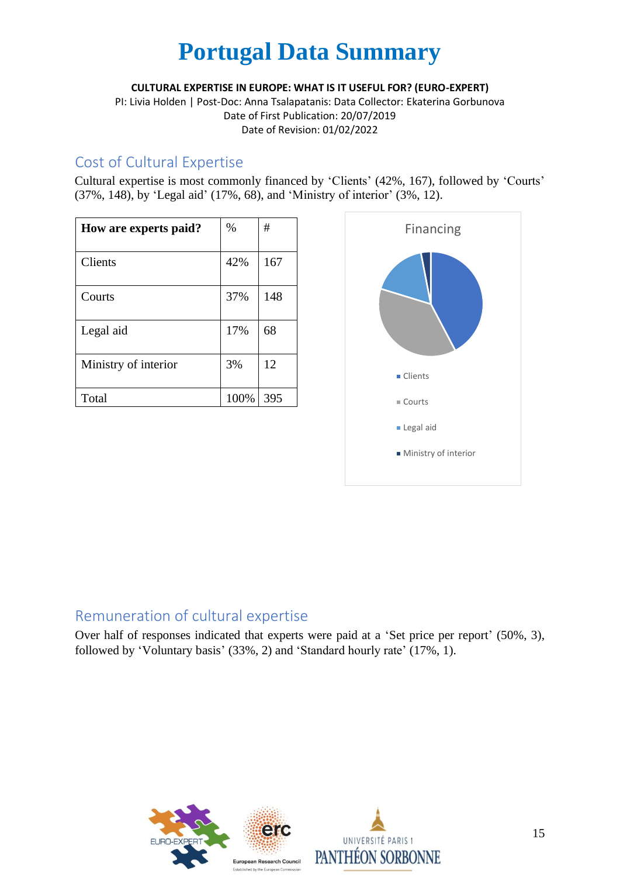**CULTURAL EXPERTISE IN EUROPE: WHAT IS IT USEFUL FOR? (EURO-EXPERT)**

PI: Livia Holden | Post-Doc: Anna Tsalapatanis: Data Collector: Ekaterina Gorbunova Date of First Publication: 20/07/2019 Date of Revision: 01/02/2022

### Cost of Cultural Expertise

Cultural expertise is most commonly financed by 'Clients' (42%, 167), followed by 'Courts' (37%, 148), by 'Legal aid' (17%, 68), and 'Ministry of interior' (3%, 12).

| How are experts paid? | $\%$ | #   |
|-----------------------|------|-----|
| Clients               | 42%  | 167 |
| Courts                | 37%  | 148 |
| Legal aid             | 17%  | 68  |
| Ministry of interior  | 3%   | 12  |
| Total                 | 100% | 395 |



### Remuneration of cultural expertise

Over half of responses indicated that experts were paid at a 'Set price per report' (50%, 3), followed by 'Voluntary basis' (33%, 2) and 'Standard hourly rate' (17%, 1).

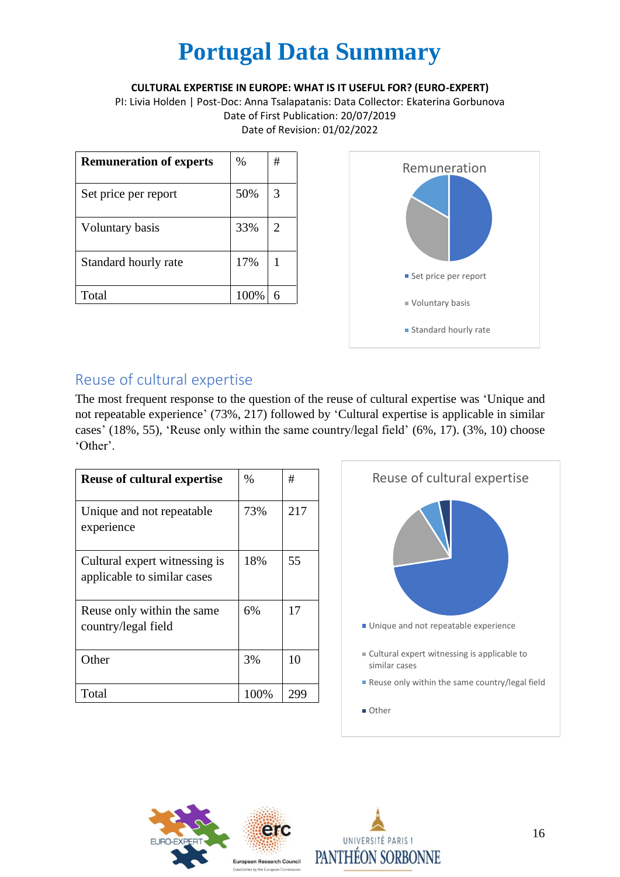**CULTURAL EXPERTISE IN EUROPE: WHAT IS IT USEFUL FOR? (EURO-EXPERT)**

PI: Livia Holden | Post-Doc: Anna Tsalapatanis: Data Collector: Ekaterina Gorbunova Date of First Publication: 20/07/2019 Date of Revision: 01/02/2022

| <b>Remuneration of experts</b> | %    | # |
|--------------------------------|------|---|
| Set price per report           | 50%  | 3 |
| Voluntary basis                | 33%  | 2 |
| Standard hourly rate           | 17%  |   |
| Total                          | 100% |   |



## Reuse of cultural expertise

The most frequent response to the question of the reuse of cultural expertise was 'Unique and not repeatable experience' (73%, 217) followed by 'Cultural expertise is applicable in similar cases' (18%, 55), 'Reuse only within the same country/legal field' (6%, 17). (3%, 10) choose 'Other'.

| <b>Reuse of cultural expertise</b>                           | $\%$ | #   |
|--------------------------------------------------------------|------|-----|
| Unique and not repeatable.<br>experience                     | 73%  | 217 |
| Cultural expert witnessing is<br>applicable to similar cases | 18%  | 55  |
| Reuse only within the same<br>country/legal field            | 6%   | 17  |
| Other                                                        | 3%   | 10  |
| Total                                                        | 100% | 299 |





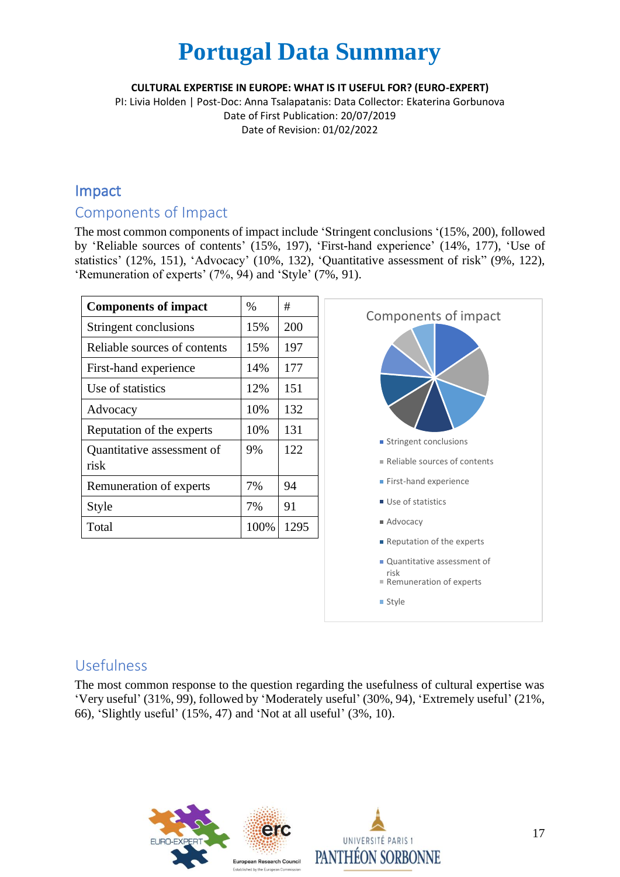**CULTURAL EXPERTISE IN EUROPE: WHAT IS IT USEFUL FOR? (EURO-EXPERT)**

PI: Livia Holden | Post-Doc: Anna Tsalapatanis: Data Collector: Ekaterina Gorbunova Date of First Publication: 20/07/2019 Date of Revision: 01/02/2022

### Impact

#### Components of Impact

The most common components of impact include 'Stringent conclusions '(15%, 200), followed by 'Reliable sources of contents' (15%, 197), 'First-hand experience' (14%, 177), 'Use of statistics' (12%, 151), 'Advocacy' (10%, 132), 'Quantitative assessment of risk" (9%, 122), 'Remuneration of experts' (7%, 94) and 'Style' (7%, 91).

| <b>Components of impact</b>  | $\%$ | #    |
|------------------------------|------|------|
| Stringent conclusions        | 15%  | 200  |
| Reliable sources of contents | 15%  | 197  |
| First-hand experience        | 14%  | 177  |
| Use of statistics            | 12%  | 151  |
| Advocacy                     | 10%  | 132  |
| Reputation of the experts    | 10%  | 131  |
| Quantitative assessment of   | 9%   | 122  |
| risk                         |      |      |
| Remuneration of experts      | 7%   | 94   |
| Style                        | 7%   | 91   |
| Total                        | 100% | 1295 |



### Usefulness

The most common response to the question regarding the usefulness of cultural expertise was 'Very useful' (31%, 99), followed by 'Moderately useful' (30%, 94), 'Extremely useful' (21%, 66), 'Slightly useful' (15%, 47) and 'Not at all useful' (3%, 10).

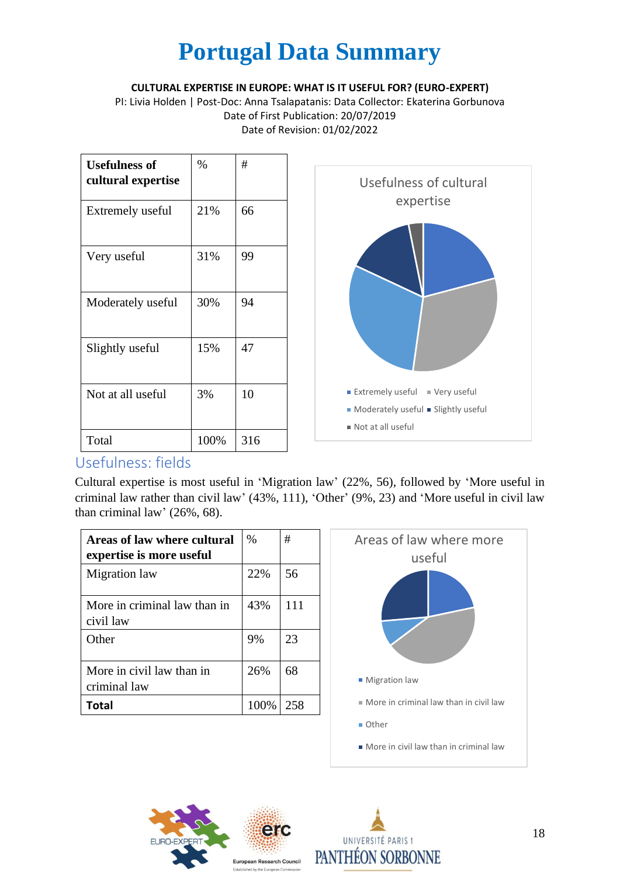**CULTURAL EXPERTISE IN EUROPE: WHAT IS IT USEFUL FOR? (EURO-EXPERT)**

PI: Livia Holden | Post-Doc: Anna Tsalapatanis: Data Collector: Ekaterina Gorbunova Date of First Publication: 20/07/2019 Date of Revision: 01/02/2022

| <b>Usefulness of</b><br>cultural expertise | %    | #   |
|--------------------------------------------|------|-----|
| Extremely useful                           | 21%  | 66  |
| Very useful                                | 31%  | 99  |
| Moderately useful                          | 30%  | 94  |
| Slightly useful                            | 15%  | 47  |
| Not at all useful                          | 3%   | 10  |
| Total                                      | 100% | 316 |



### Usefulness: fields

Cultural expertise is most useful in 'Migration law' (22%, 56), followed by 'More useful in criminal law rather than civil law' (43%, 111), 'Other' (9%, 23) and 'More useful in civil law than criminal law' (26%, 68).

| Areas of law where cultural<br>expertise is more useful | $\%$ | #   |
|---------------------------------------------------------|------|-----|
| Migration law                                           | 22%  | 56  |
| More in criminal law than in<br>civil law               | 43%  | 111 |
| Other                                                   | 9%   | 23  |
| More in civil law than in<br>criminal law               | 26%  | 68  |
| Total                                                   | 100% | 258 |





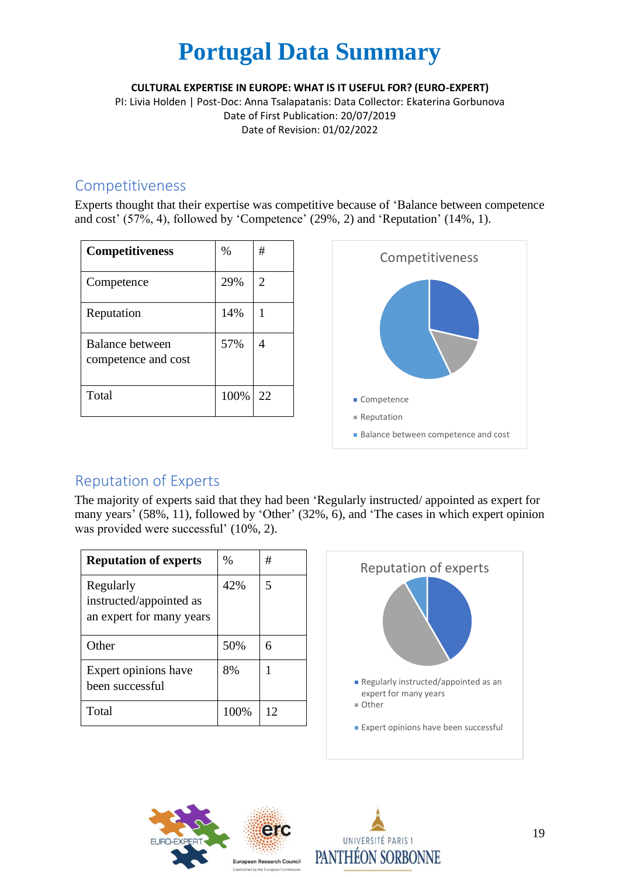**CULTURAL EXPERTISE IN EUROPE: WHAT IS IT USEFUL FOR? (EURO-EXPERT)**

PI: Livia Holden | Post-Doc: Anna Tsalapatanis: Data Collector: Ekaterina Gorbunova Date of First Publication: 20/07/2019 Date of Revision: 01/02/2022

#### Competitiveness

Experts thought that their expertise was competitive because of 'Balance between competence and cost' (57%, 4), followed by 'Competence' (29%, 2) and 'Reputation' (14%, 1).

| <b>Competitiveness</b>                 | $\%$ | #  |
|----------------------------------------|------|----|
| Competence                             | 29%  | 2  |
| Reputation                             | 14%  |    |
| Balance between<br>competence and cost | 57%  |    |
| Total                                  | 100% | 22 |



## Reputation of Experts

The majority of experts said that they had been 'Regularly instructed/ appointed as expert for many years' (58%, 11), followed by 'Other' (32%, 6), and 'The cases in which expert opinion was provided were successful' (10%, 2).

| <b>Reputation of experts</b>                                     | $\%$ | #  |
|------------------------------------------------------------------|------|----|
| Regularly<br>instructed/appointed as<br>an expert for many years | 42%  | 5  |
| Other                                                            | 50%  | 6  |
| Expert opinions have<br>been successful                          | 8%   |    |
| Total                                                            | 100% | 12 |





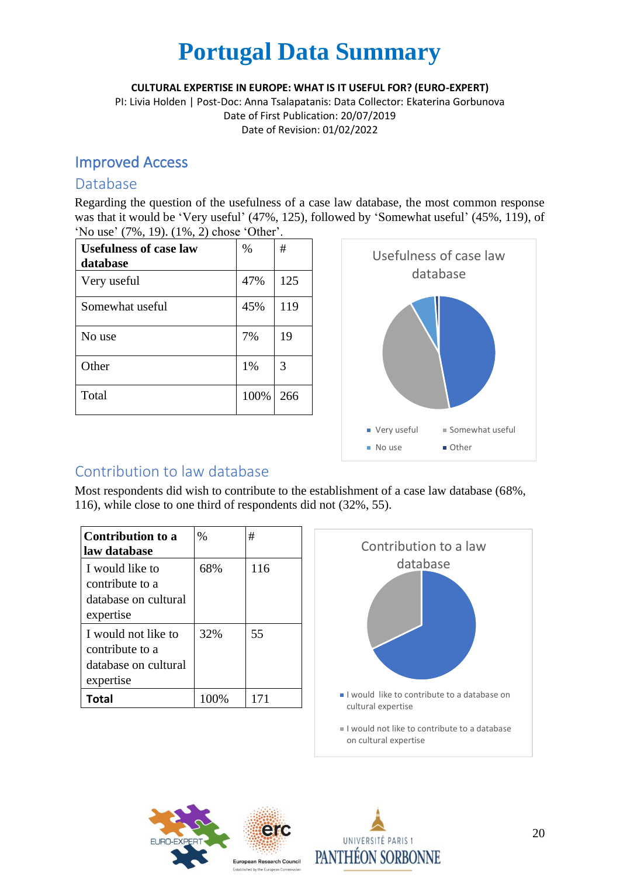**CULTURAL EXPERTISE IN EUROPE: WHAT IS IT USEFUL FOR? (EURO-EXPERT)**

PI: Livia Holden | Post-Doc: Anna Tsalapatanis: Data Collector: Ekaterina Gorbunova Date of First Publication: 20/07/2019 Date of Revision: 01/02/2022

### Improved Access

#### Database

Regarding the question of the usefulness of a case law database, the most common response was that it would be 'Very useful' (47%, 125), followed by 'Somewhat useful' (45%, 119), of 'No use' (7%, 19). (1%, 2) chose 'Other'.

| <b>Usefulness of case law</b><br>database | $\%$ | #   |
|-------------------------------------------|------|-----|
| Very useful                               | 47%  | 125 |
| Somewhat useful                           | 45%  | 119 |
| No use                                    | 7%   | 19  |
| Other                                     | 1%   | 3   |
| Total                                     | 100% | 266 |



## Contribution to law database

Most respondents did wish to contribute to the establishment of a case law database (68%, 116), while close to one third of respondents did not (32%, 55).

| <b>Contribution to a</b><br>law database                                    | %    | #   |
|-----------------------------------------------------------------------------|------|-----|
| I would like to<br>contribute to a<br>database on cultural<br>expertise     | 68%  | 116 |
| I would not like to<br>contribute to a<br>database on cultural<br>expertise | 32%  | 55  |
| Total                                                                       | 100% | 171 |





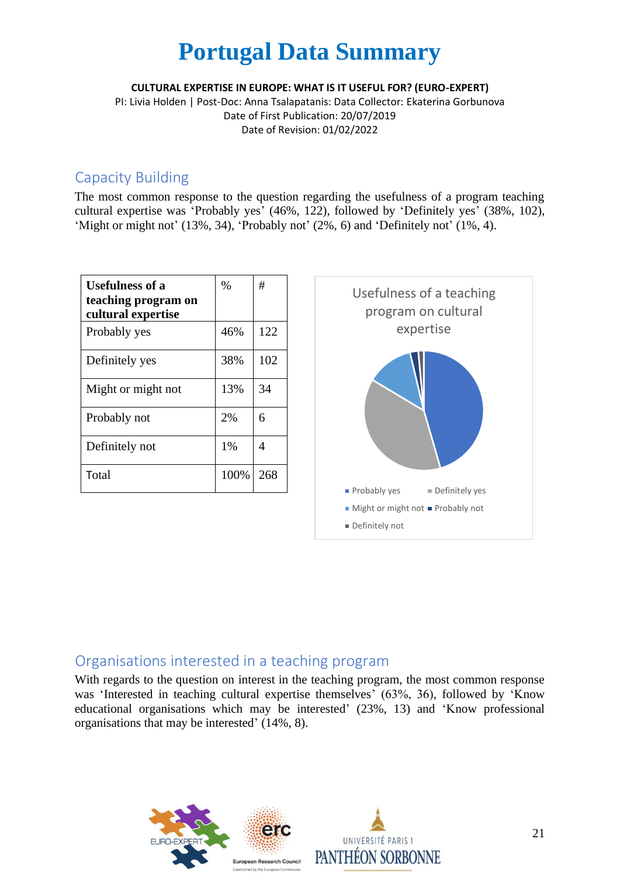**CULTURAL EXPERTISE IN EUROPE: WHAT IS IT USEFUL FOR? (EURO-EXPERT)**

PI: Livia Holden | Post-Doc: Anna Tsalapatanis: Data Collector: Ekaterina Gorbunova Date of First Publication: 20/07/2019 Date of Revision: 01/02/2022

#### Capacity Building

The most common response to the question regarding the usefulness of a program teaching cultural expertise was 'Probably yes' (46%, 122), followed by 'Definitely yes' (38%, 102), 'Might or might not' (13%, 34), 'Probably not' (2%, 6) and 'Definitely not' (1%, 4).

| <b>Usefulness of a</b><br>teaching program on<br>cultural expertise | $\%$ | #   |
|---------------------------------------------------------------------|------|-----|
| Probably yes                                                        | 46%  | 122 |
| Definitely yes                                                      | 38%  | 102 |
| Might or might not                                                  | 13%  | 34  |
| Probably not                                                        | 2%   | 6   |
| Definitely not                                                      | 1%   | 4   |
| Total                                                               | 100% | 268 |



### Organisations interested in a teaching program

With regards to the question on interest in the teaching program, the most common response was 'Interested in teaching cultural expertise themselves' (63%, 36), followed by 'Know educational organisations which may be interested' (23%, 13) and 'Know professional organisations that may be interested' (14%, 8).